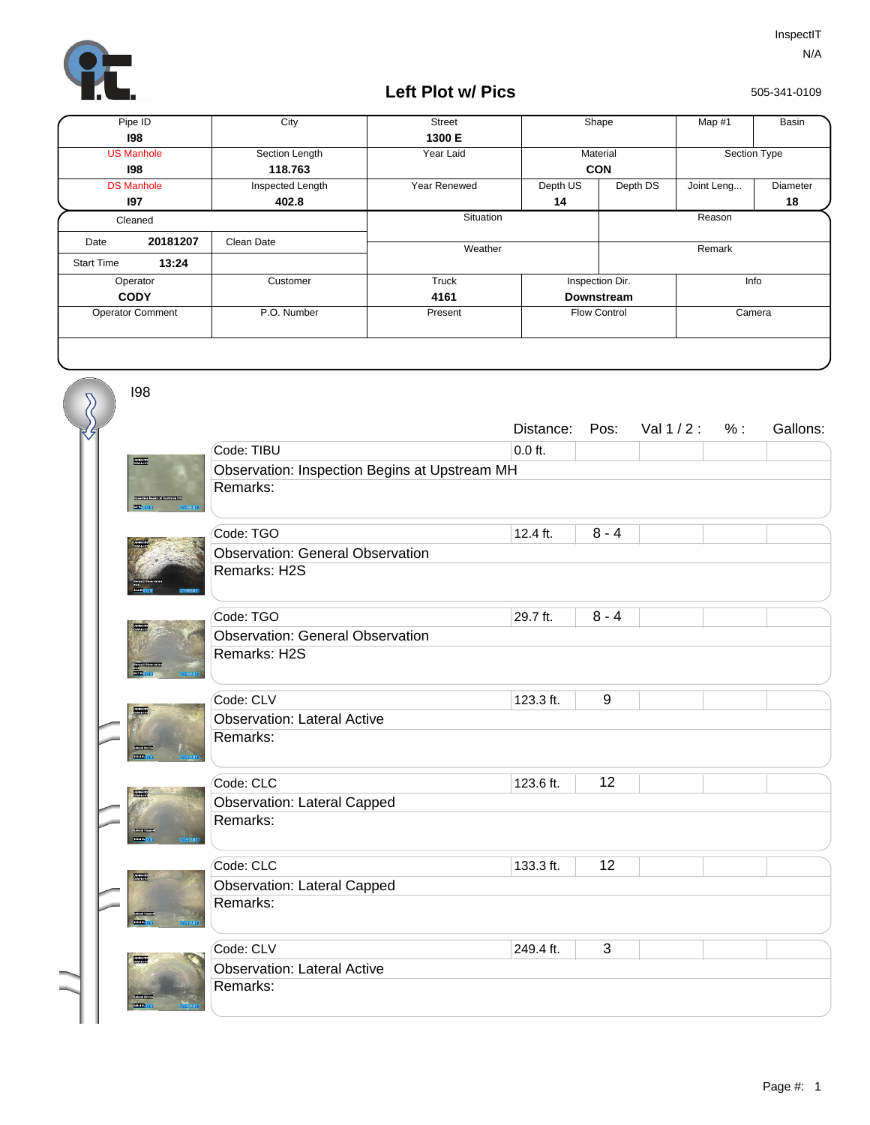

I98

 $\sum$ 

## **Left Plot w/ Pics**

505-341-0109

| Pipe ID                 |          | City             | <b>Street</b>       | Shape             |                         | Map #1       | <b>Basin</b> |
|-------------------------|----------|------------------|---------------------|-------------------|-------------------------|--------------|--------------|
|                         | 198      |                  | 1300 E              |                   |                         |              |              |
| <b>US Manhole</b>       |          | Section Length   | Year Laid           | Material          |                         | Section Type |              |
| 198                     |          | 118.763          |                     | <b>CON</b>        |                         |              |              |
| <b>DS Manhole</b>       |          | Inspected Length | <b>Year Renewed</b> | Depth US          | Depth DS                | Joint Leng   | Diameter     |
|                         | 197      | 402.8            |                     | 14                |                         |              | 18           |
| Cleaned                 |          |                  | Situation           |                   | Reason                  |              |              |
| Date                    | 20181207 | Clean Date       |                     |                   |                         |              |              |
| <b>Start Time</b>       | 13:24    |                  | Weather             |                   |                         | Remark       |              |
| Operator                |          | Customer         | Truck               |                   | Inspection Dir.<br>Info |              |              |
| <b>CODY</b>             |          |                  | 4161                | <b>Downstream</b> |                         |              |              |
| <b>Operator Comment</b> |          | P.O. Number      | Present             |                   | <b>Flow Control</b>     |              | Camera       |
|                         |          |                  |                     |                   |                         |              |              |

|                         |                                               | Distance: |                  | Pos: Val 1 / 2 : | $\%$ : | Gallons: |  |  |
|-------------------------|-----------------------------------------------|-----------|------------------|------------------|--------|----------|--|--|
|                         | Code: TIBU                                    | $0.0$ ft. |                  |                  |        |          |  |  |
| <b>The State</b>        | Observation: Inspection Begins at Upstream MH |           |                  |                  |        |          |  |  |
|                         | Remarks:                                      |           |                  |                  |        |          |  |  |
|                         | Code: TGO                                     | 12.4 ft.  | $8 - 4$          |                  |        |          |  |  |
|                         | <b>Observation: General Observation</b>       |           |                  |                  |        |          |  |  |
|                         | Remarks: H2S                                  |           |                  |                  |        |          |  |  |
|                         | Code: TGO                                     | 29.7 ft.  | $8 - 4$          |                  |        |          |  |  |
|                         | <b>Observation: General Observation</b>       |           |                  |                  |        |          |  |  |
|                         | Remarks: H2S                                  |           |                  |                  |        |          |  |  |
|                         | Code: CLV                                     | 123.3 ft. | $\boldsymbol{9}$ |                  |        |          |  |  |
|                         | <b>Observation: Lateral Active</b>            |           |                  |                  |        |          |  |  |
| <b>Barriotta</b><br>mm. | Remarks:                                      |           |                  |                  |        |          |  |  |
|                         | Code: CLC                                     | 123.6 ft. | 12               |                  |        |          |  |  |
|                         | <b>Observation: Lateral Capped</b>            |           |                  |                  |        |          |  |  |
|                         | Remarks:                                      |           |                  |                  |        |          |  |  |
|                         | Code: CLC                                     | 133.3 ft. | 12               |                  |        |          |  |  |
|                         | <b>Observation: Lateral Capped</b>            |           |                  |                  |        |          |  |  |
| <b>REMARKS</b>          | Remarks:                                      |           |                  |                  |        |          |  |  |
|                         | Code: CLV                                     | 249.4 ft. | 3                |                  |        |          |  |  |
| <b>The Re</b>           | <b>Observation: Lateral Active</b>            |           |                  |                  |        |          |  |  |
|                         | Remarks:                                      |           |                  |                  |        |          |  |  |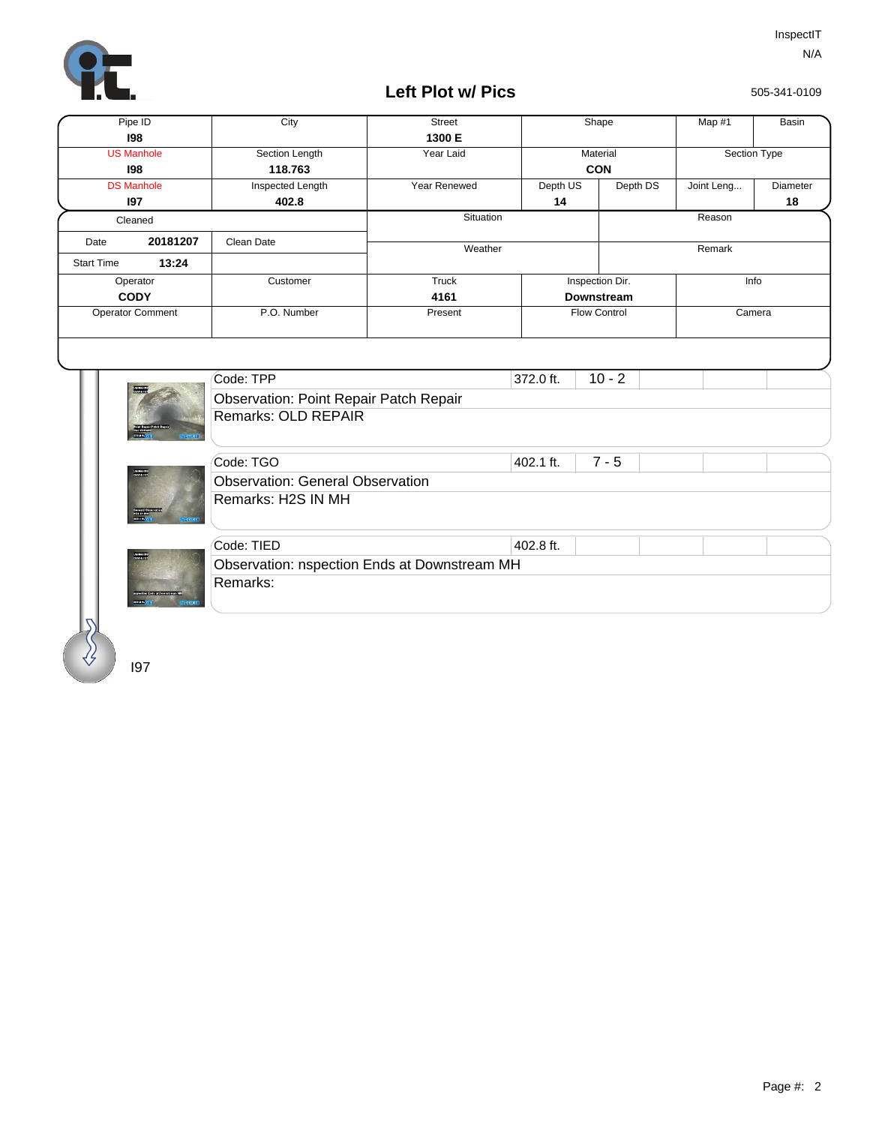

Remarks:

I97

spectrum of the minimality<br>senant production of the

## **Left Plot w/ Pics**

505-341-0109

|                            | City                                          | <b>Street</b> |                     | Shape           | Map #1     | <b>Basin</b>    |  |
|----------------------------|-----------------------------------------------|---------------|---------------------|-----------------|------------|-----------------|--|
| 198                        |                                               | 1300 E        |                     |                 |            |                 |  |
| <b>US Manhole</b>          | Section Length                                | Year Laid     |                     | Material        |            | Section Type    |  |
| 198                        | 118.763                                       |               | <b>CON</b>          |                 |            |                 |  |
| <b>DS Manhole</b>          | Inspected Length                              | Year Renewed  | Depth US            | Depth DS        | Joint Leng | <b>Diameter</b> |  |
| 197                        | 402.8                                         |               | 14                  |                 |            | 18              |  |
| Cleaned                    |                                               | Situation     |                     | Reason          |            |                 |  |
| 20181207<br>Date           | Clean Date                                    | Weather       |                     |                 | Remark     |                 |  |
| 13:24<br><b>Start Time</b> |                                               |               |                     |                 |            |                 |  |
| Operator                   | Customer                                      | <b>Truck</b>  |                     | Inspection Dir. | Info       |                 |  |
| <b>CODY</b>                |                                               | 4161          | <b>Downstream</b>   |                 |            |                 |  |
| <b>Operator Comment</b>    | P.O. Number                                   | Present       | <b>Flow Control</b> |                 |            | Camera          |  |
|                            |                                               |               |                     |                 |            |                 |  |
|                            |                                               |               |                     |                 |            |                 |  |
|                            |                                               |               |                     |                 |            |                 |  |
|                            | Code: TPP                                     |               | 372.0 ft.           | $10 - 2$        |            |                 |  |
|                            |                                               |               |                     |                 |            |                 |  |
|                            | <b>Observation: Point Repair Patch Repair</b> |               |                     |                 |            |                 |  |
|                            | Remarks: OLD REPAIR                           |               |                     |                 |            |                 |  |
|                            |                                               |               |                     |                 |            |                 |  |
|                            | Code: TGO                                     |               | 402.1 ft.           | $7 - 5$         |            |                 |  |
| UNIVERSITY.<br>OENVALUES   | <b>Observation: General Observation</b>       |               |                     |                 |            |                 |  |
|                            | Remarks: H2S IN MH                            |               |                     |                 |            |                 |  |
|                            |                                               |               |                     |                 |            |                 |  |
|                            | Code: TIED                                    |               | 402.8 ft.           |                 |            |                 |  |